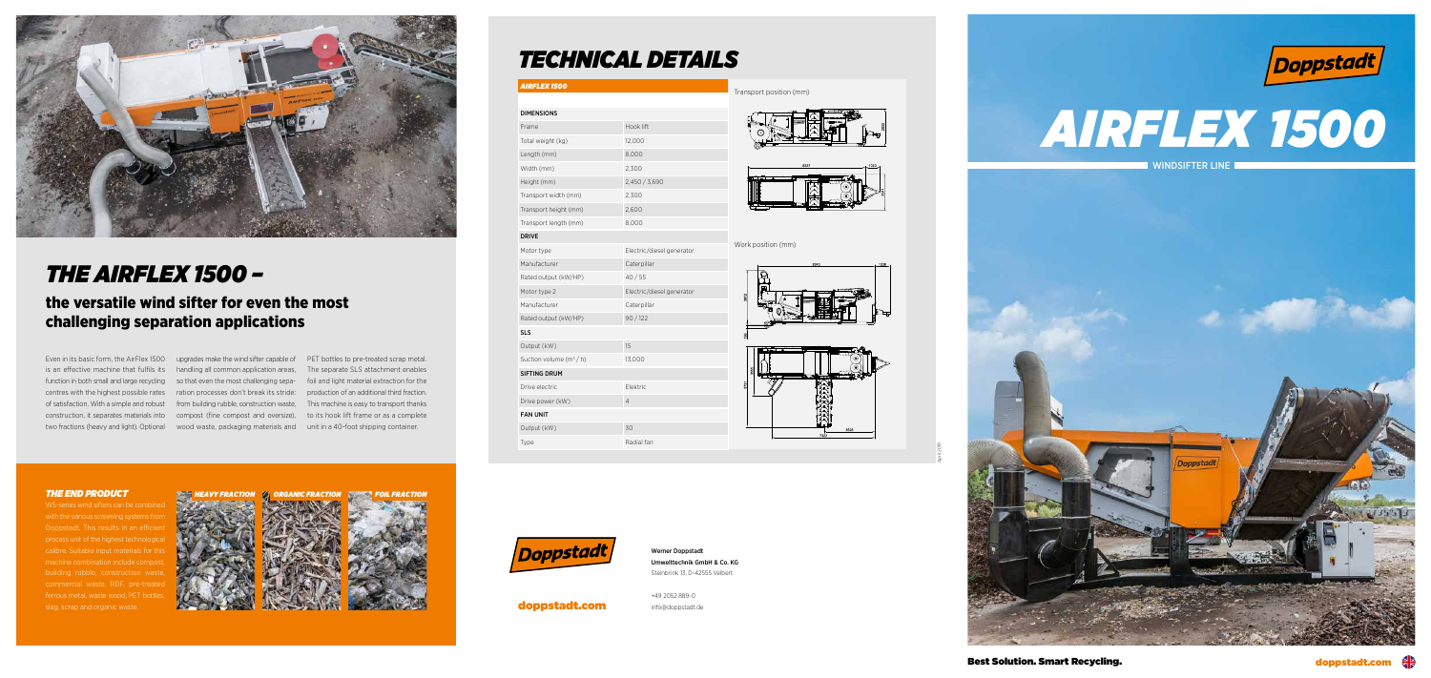*AIRFLEX 1500*

| <b>DIMENSIONS</b>        |                           |
|--------------------------|---------------------------|
| Frame                    | Hook lift                 |
| Total weight (kg)        | 12,000                    |
| Length (mm)              | 8,000                     |
| Width (mm)               | 2,300                     |
| Height (mm)              | 2,450 / 3,690             |
| Transport width (mm)     | 2,300                     |
| Transport height (mm)    | 2,600                     |
| Transport length (mm)    | 8,000                     |
| <b>DRIVE</b>             |                           |
| Motor type               | Electric/diesel generator |
| Manufacturer             | Caterpillar               |
| Rated output (kW/HP)     | 40/55                     |
| Motor type 2             | Electric/diesel generator |
| Manufacturer             | Caterpillar               |
| Rated output (kW/HP)     | 90/122                    |
| <b>SLS</b>               |                           |
| Output (kW)              | 15                        |
| Suction volume $(m^3/h)$ | 13,000                    |
| <b>SIFTING DRUM</b>      |                           |
| Drive electric           | Elektric                  |
| Drive power (kW)         | 4                         |
| <b>FAN UNIT</b>          |                           |
| Output (kW)              | 30                        |
| Type                     | Radial fan                |



WS-series wind sifters can be combined with the various screening systems from Doppstadt. This results in an efficient process unit of the highest technological calibre. Suitable input materials for this machine combination include compost, building rubble, construction waste, commercial waste. RDF, pre-treated ferrous metal, waste wood, PET bottles, slag, scrap and organic waste.



Even in its basic form, the AirFlex 1500 upgrades make the wind sifter capable of PET bottles to pre-treated scrap metal. is an effective machine that fulfils its handling all common application areas, The separate SLS attachment enables function in both small and large recycling so that even the most challenging sepa- foil and light material extraction for the of satisfaction. With a simple and robust from building rubble, construction waste, This machine is easy to transport thanks construction, it separates materials into compost (fine compost and oversize), to its hook lift frame or as a complete two fractions (heavy and light). Optional wood waste, packaging materials and unit in a 40-foot shipping container.

#### *THE END PRODUCT*



# *THE AIRFLEX 1500 –*

## the versatile wind sifter for even the most challenging separation applications

centres with the highest possible rates ration processes don't break its stride:

production of an additional third fraction.

# *TECHNICAL DETAILS*

Werner Doppstadt Umwelttechnik GmbH & Co. KG Steinbrink 13, D-42555 Velbert

+49 2052 889-0 info@doppstadt.de

Best Solution. Smart Recycling.

# *AIRFLEX 1500*

**WINDSIFTER LINE** 







April 2019



doppstadt.com



#### Work position (mm)



#### Transport position (mm)